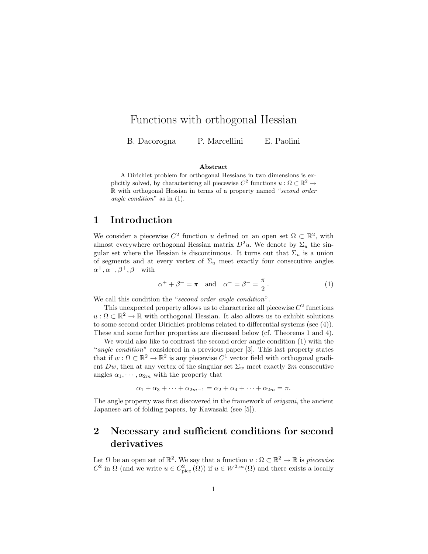## Functions with orthogonal Hessian

B. Dacorogna P. Marcellini E. Paolini

#### Abstract

A Dirichlet problem for orthogonal Hessians in two dimensions is explicitly solved, by characterizing all piecewise  $C^2$  functions  $u : \Omega \subset \mathbb{R}^2 \to$ R with orthogonal Hessian in terms of a property named "second order angle condition" as in (1).

#### 1 Introduction

We consider a piecewise  $C^2$  function u defined on an open set  $\Omega \subset \mathbb{R}^2$ , with almost everywhere orthogonal Hessian matrix  $D^2u$ . We denote by  $\Sigma_u$  the singular set where the Hessian is discontinuous. It turns out that  $\Sigma_u$  is a union of segments and at every vertex of  $\Sigma_u$  meet exactly four consecutive angles  $\alpha^+, \alpha^-, \beta^+, \beta^-$  with

$$
\alpha^+ + \beta^+ = \pi \quad \text{and} \quad \alpha^- = \beta^- = \frac{\pi}{2} \,. \tag{1}
$$

We call this condition the "second order angle condition".

This unexpected property allows us to characterize all piecewise  $C<sup>2</sup>$  functions  $u:\Omega \subset \mathbb{R}^2 \to \mathbb{R}$  with orthogonal Hessian. It also allows us to exhibit solutions to some second order Dirichlet problems related to differential systems (see (4)). These and some further properties are discussed below (cf. Theorems 1 and 4).

We would also like to contrast the second order angle condition (1) with the "angle condition" considered in a previous paper [3]. This last property states that if  $w: \Omega \subset \mathbb{R}^2 \to \mathbb{R}^2$  is any piecewise  $C^1$  vector field with orthogonal gradient Dw, then at any vertex of the singular set  $\Sigma_w$  meet exactly 2m consecutive angles  $\alpha_1, \cdots, \alpha_{2m}$  with the property that

 $\alpha_1 + \alpha_3 + \cdots + \alpha_{2m-1} = \alpha_2 + \alpha_4 + \cdots + \alpha_{2m} = \pi.$ 

The angle property was first discovered in the framework of origami, the ancient Japanese art of folding papers, by Kawasaki (see [5]).

# 2 Necessary and sufficient conditions for second derivatives

Let  $\Omega$  be an open set of  $\mathbb{R}^2$ . We say that a function  $u : \Omega \subset \mathbb{R}^2 \to \mathbb{R}$  is *piecewise*  $C^2$  in  $\Omega$  (and we write  $u \in C^2_{\text{prec}}(\Omega)$ ) if  $u \in W^{2,\infty}(\Omega)$  and there exists a locally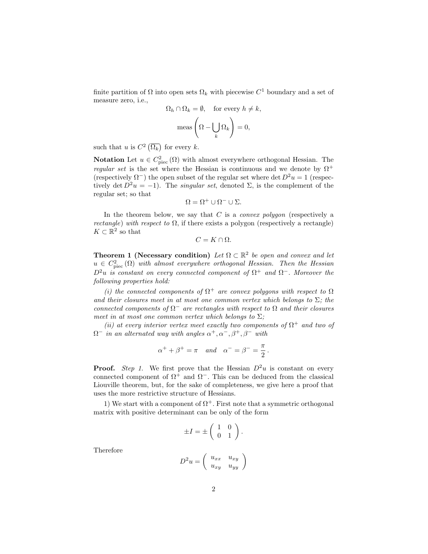finite partition of  $\Omega$  into open sets  $\Omega_k$  with piecewise  $C^1$  boundary and a set of measure zero, i.e.,

$$
\Omega_h \cap \Omega_k = \emptyset, \quad \text{for every } h \neq k,
$$

$$
\text{meas}\left(\Omega - \bigcup_k \Omega_k\right) = 0,
$$

such that u is  $C^2(\overline{\Omega_k})$  for every k.

**Notation** Let  $u \in C^2_{\text{piec}}(\Omega)$  with almost everywhere orthogonal Hessian. The regular set is the set where the Hessian is continuous and we denote by  $\Omega^+$ (respectively  $\Omega^-$ ) the open subset of the regular set where det  $D^2u = 1$  (respectively det  $D^2u = -1$ ). The *singular set*, denoted  $\Sigma$ , is the complement of the regular set; so that

$$
\Omega = \Omega^+ \cup \Omega^- \cup \Sigma.
$$

In the theorem below, we say that  $C$  is a *convex polygon* (respectively a *rectangle*) with respect to  $\Omega$ , if there exists a polygon (respectively a rectangle)  $K \subset \mathbb{R}^2$  so that

 $C = K \cap \Omega$ .

**Theorem 1 (Necessary condition)** Let  $\Omega \subset \mathbb{R}^2$  be open and convex and let  $u \in C^2_{\text{piec}}(\Omega)$  with almost everywhere orthogonal Hessian. Then the Hessian  $D^2u$  is constant on every connected component of  $\Omega^+$  and  $\Omega^-$ . Moreover the following properties hold:

(i) the connected components of  $\Omega^+$  are convex polygons with respect to  $\Omega$ and their closures meet in at most one common vertex which belongs to  $\Sigma$ ; the connected components of  $\Omega^-$  are rectangles with respect to  $\Omega$  and their closures meet in at most one common vertex which belongs to  $\Sigma$ ;

(ii) at every interior vertex meet exactly two components of  $\Omega^+$  and two of  $\Omega^-$  in an alternated way with angles  $\alpha^+, \alpha^-, \beta^+, \beta^-$  with

$$
\alpha^+ + \beta^+ = \pi
$$
 and  $\alpha^- = \beta^- = \frac{\pi}{2}$ .

**Proof.** Step 1. We first prove that the Hessian  $D^2u$  is constant on every connected component of  $\Omega^+$  and  $\Omega^-$ . This can be deduced from the classical Liouville theorem, but, for the sake of completeness, we give here a proof that uses the more restrictive structure of Hessians.

1) We start with a component of  $\Omega^+$ . First note that a symmetric orthogonal matrix with positive determinant can be only of the form

$$
\pm I = \pm \left( \begin{array}{cc} 1 & 0 \\ 0 & 1 \end{array} \right).
$$

Therefore

$$
D^2 u = \left( \begin{array}{cc} u_{xx} & u_{xy} \\ u_{xy} & u_{yy} \end{array} \right)
$$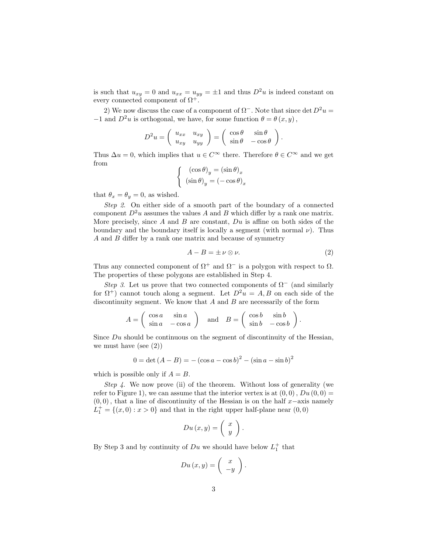is such that  $u_{xy} = 0$  and  $u_{xx} = u_{yy} = \pm 1$  and thus  $D^2u$  is indeed constant on every connected component of  $\Omega^+$ .

2) We now discuss the case of a component of  $\Omega^-$ . Note that since det  $D^2u =$  $-1$  and  $D^2u$  is orthogonal, we have, for some function  $\theta = \theta(x, y)$ ,

$$
D^2 u = \begin{pmatrix} u_{xx} & u_{xy} \\ u_{xy} & u_{yy} \end{pmatrix} = \begin{pmatrix} \cos \theta & \sin \theta \\ \sin \theta & -\cos \theta \end{pmatrix}.
$$

Thus  $\Delta u = 0$ , which implies that  $u \in C^{\infty}$  there. Therefore  $\theta \in C^{\infty}$  and we get from

$$
\begin{cases} (\cos \theta)_y = (\sin \theta)_x \\ (\sin \theta)_y = (-\cos \theta)_x \end{cases}
$$

that  $\theta_x = \theta_y = 0$ , as wished.

Step 2. On either side of a smooth part of the boundary of a connected component  $D^2u$  assumes the values A and B which differ by a rank one matrix. More precisely, since  $A$  and  $B$  are constant,  $Du$  is affine on both sides of the boundary and the boundary itself is locally a segment (with normal  $\nu$ ). Thus A and B differ by a rank one matrix and because of symmetry

$$
A - B = \pm \nu \otimes \nu. \tag{2}
$$

Thus any connected component of  $\Omega^+$  and  $\Omega^-$  is a polygon with respect to  $\Omega$ . The properties of these polygons are established in Step 4.

Step 3. Let us prove that two connected components of  $\Omega^-$  (and similarly for  $\Omega^+$ ) cannot touch along a segment. Let  $D^2u = A, B$  on each side of the discontinuity segment. We know that  $A$  and  $B$  are necessarily of the form

$$
A = \begin{pmatrix} \cos a & \sin a \\ \sin a & -\cos a \end{pmatrix} \text{ and } B = \begin{pmatrix} \cos b & \sin b \\ \sin b & -\cos b \end{pmatrix}.
$$

Since  $Du$  should be continuous on the segment of discontinuity of the Hessian, we must have (see  $(2)$ )

$$
0 = \det (A - B) = -(\cos a - \cos b)^{2} - (\sin a - \sin b)^{2}
$$

which is possible only if  $A = B$ .

Step 4. We now prove (ii) of the theorem. Without loss of generality (we refer to Figure 1), we can assume that the interior vertex is at  $(0,0)$ ,  $Du(0,0) =$  $(0, 0)$ , that a line of discontinuity of the Hessian is on the half x–axis namely  $L_1^+ = \{(x, 0) : x > 0\}$  and that in the right upper half-plane near  $(0, 0)$ 

$$
Du(x,y) = \left(\begin{array}{c} x \\ y \end{array}\right).
$$

By Step 3 and by continuity of  $Du$  we should have below  $L_1^+$  that

$$
Du(x,y) = \left(\begin{array}{c}x\\-y\end{array}\right).
$$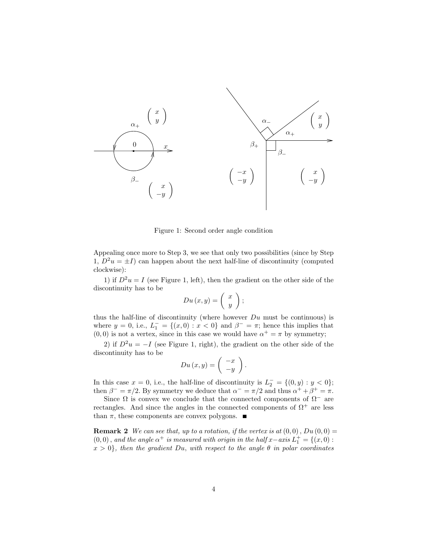

Figure 1: Second order angle condition

Appealing once more to Step 3, we see that only two possibilities (since by Step 1,  $D^2u = \pm I$ ) can happen about the next half-line of discontinuity (computed clockwise):

1) if  $D^2u = I$  (see Figure 1, left), then the gradient on the other side of the discontinuity has to be

$$
Du(x,y) = \left(\begin{array}{c} x \\ y \end{array}\right);
$$

thus the half-line of discontinuity (where however  $Du$  must be continuous) is where  $y = 0$ , i.e.,  $L_1^- = \{(x, 0) : x < 0\}$  and  $\beta^- = \pi$ ; hence this implies that  $(0,0)$  is not a vertex, since in this case we would have  $\alpha^+ = \pi$  by symmetry;

2) if  $D^2u = -I$  (see Figure 1, right), the gradient on the other side of the discontinuity has to be

$$
Du(x,y) = \left(\begin{array}{c} -x \\ -y \end{array}\right).
$$

In this case  $x = 0$ , i.e., the half-line of discontinuity is  $L_2^- = \{(0, y) : y < 0\};$ then  $\beta^- = \pi/2$ . By symmetry we deduce that  $\alpha^- = \pi/2$  and thus  $\alpha^+ + \beta^+ = \pi$ .

Since  $\Omega$  is convex we conclude that the connected components of  $\Omega^-$  are rectangles. And since the angles in the connected components of  $\Omega^+$  are less than  $\pi$ , these components are convex polygons.  $\blacksquare$ 

**Remark 2** We can see that, up to a rotation, if the vertex is at  $(0,0)$ ,  $Du(0,0) =$  $(0,0)$ , and the angle  $\alpha^+$  is measured with origin in the half  $x-axisiota^{-1} = \{(x,0) :$  $x > 0$ , then the gradient Du, with respect to the angle  $\theta$  in polar coordinates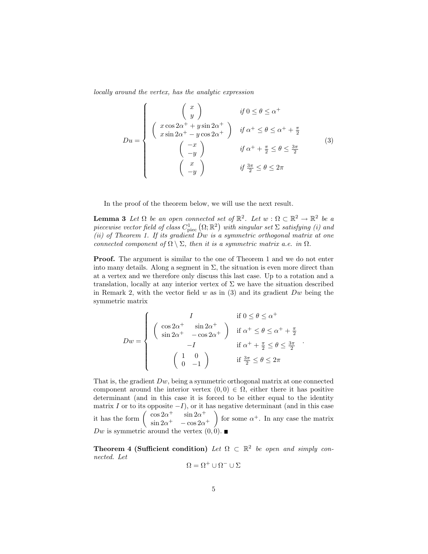locally around the vertex, has the analytic expression

$$
Du = \begin{cases} \begin{pmatrix} x \\ y \end{pmatrix} & \text{if } 0 \le \theta \le \alpha^+ \\ \begin{pmatrix} x \cos 2\alpha^+ + y \sin 2\alpha^+ \\ x \sin 2\alpha^+ - y \cos 2\alpha^+ \end{pmatrix} & \text{if } \alpha^+ \le \theta \le \alpha^+ + \frac{\pi}{2} \\ \begin{pmatrix} -x \\ -y \end{pmatrix} & \text{if } \alpha^+ + \frac{\pi}{2} \le \theta \le \frac{3\pi}{2} \\ \begin{pmatrix} x \\ -y \end{pmatrix} & \text{if } \frac{3\pi}{2} \le \theta \le 2\pi \end{cases} \tag{3}
$$

In the proof of the theorem below, we will use the next result.

**Lemma 3** Let  $\Omega$  be an open connected set of  $\mathbb{R}^2$ . Let  $w : \Omega \subset \mathbb{R}^2 \to \mathbb{R}^2$  be a piecewise vector field of class  $C_{\rm piec}^1(\Omega;\mathbb{R}^2)$  with singular set  $\Sigma$  satisfying (i) and (ii) of Theorem 1. If its gradient  $\overline{D}w$  is a symmetric orthogonal matrix at one connected component of  $\Omega \setminus \Sigma$ , then it is a symmetric matrix a.e. in  $\Omega$ .

Proof. The argument is similar to the one of Theorem 1 and we do not enter into many details. Along a segment in  $\Sigma$ , the situation is even more direct than at a vertex and we therefore only discuss this last case. Up to a rotation and a translation, locally at any interior vertex of  $\Sigma$  we have the situation described in Remark 2, with the vector field  $w$  as in (3) and its gradient  $Dw$  being the symmetric matrix

$$
Dw = \begin{cases} I & \text{if } 0 \le \theta \le \alpha^+ \\ \sin 2\alpha^+ & -\cos 2\alpha^+ \\ -I & \text{if } \alpha^+ \le \theta \le \alpha^+ + \frac{\pi}{2} \\ \begin{pmatrix} 1 & 0 \\ 0 & -1 \end{pmatrix} & \text{if } \frac{3\pi}{2} \le \theta \le 2\pi \end{cases}
$$

That is, the gradient  $Dw$ , being a symmetric orthogonal matrix at one connected component around the interior vertex  $(0, 0) \in \Omega$ , either there it has positive determinant (and in this case it is forced to be either equal to the identity matrix I or to its opposite  $-I$ ), or it has negative determinant (and in this case it has the form  $\begin{pmatrix} \cos 2\alpha^+ & \sin 2\alpha^+ \\ \sin \alpha^- & \cos 2\alpha^- \end{pmatrix}$  $\sin 2\alpha^+$  –  $\cos 2\alpha^+$ for some  $\alpha^+$ . In any case the matrix Dw is symmetric around the vertex  $(0, 0)$ .

Theorem 4 (Sufficient condition) Let  $\Omega \subset \mathbb{R}^2$  be open and simply connected. Let

$$
\Omega = \Omega^+ \cup \Omega^- \cup \Sigma
$$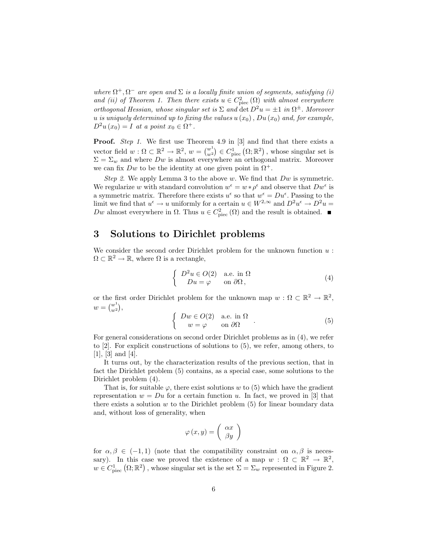where  $\Omega^+, \Omega^-$  are open and  $\Sigma$  is a locally finite union of segments, satisfying (i) and (ii) of Theorem 1. Then there exists  $u \in C^2_{\text{piec}}(\Omega)$  with almost everywhere orthogonal Hessian, whose singular set is  $\Sigma$  and  $\det D^2u = \pm 1$  in  $\Omega^{\pm}$ . Moreover u is uniquely determined up to fixing the values  $u(x_0)$ ,  $Du(x_0)$  and, for example,  $D^2u(x_0) = I$  at a point  $x_0 \in \Omega^+$ .

Proof. Step 1. We first use Theorem 4.9 in [3] and find that there exists a vector field  $w : \Omega \subset \mathbb{R}^2 \to \mathbb{R}^2$ ,  $w = \binom{w^1}{w^2}$  $\binom{w^1}{w^2} \in C^1_{\text{piec}}(\Omega;\mathbb{R}^2)$ , whose singular set is  $\Sigma = \Sigma_w$  and where  $Dw$  is almost everywhere an orthogonal matrix. Moreover we can fix Dw to be the identity at one given point in  $\Omega^+$ .

Step 2. We apply Lemma 3 to the above w. We find that  $Dw$  is symmetric. We regularize w with standard convolution  $w^{\epsilon} = w * \rho^{\epsilon}$  and observe that  $Dw^{\epsilon}$  is a symmetric matrix. Therefore there exists  $u^{\epsilon}$  so that  $w^{\epsilon} = Du^{\epsilon}$ . Passing to the limit we find that  $u^{\epsilon} \to u$  uniformly for a certain  $u \in W^{2,\infty}$  and  $D^2u^{\epsilon} \to D^2u =$ Dw almost everywhere in  $\Omega$ . Thus  $u \in C^2_{\text{piec}}(\Omega)$  and the result is obtained.

### 3 Solutions to Dirichlet problems

We consider the second order Dirichlet problem for the unknown function  $u$ :  $\Omega \subset \mathbb{R}^2 \to \mathbb{R}$ , where  $\Omega$  is a rectangle,

$$
\begin{cases}\nD^2 u \in O(2) & \text{a.e. in } \Omega \\
Du = \varphi & \text{on } \partial\Omega,\n\end{cases}
$$
\n(4)

or the first order Dirichlet problem for the unknown map  $w : \Omega \subset \mathbb{R}^2 \to \mathbb{R}^2$ ,  $w = \binom{w^1}{w^2}$  $w_1^{\nu}$ ,

$$
\begin{cases}\nDw \in O(2) & \text{a.e. in } \Omega \\
w = \varphi & \text{on } \partial\Omega\n\end{cases}.
$$
\n(5)

For general considerations on second order Dirichlet problems as in (4), we refer to [2]. For explicit constructions of solutions to (5), we refer, among others, to  $[1], [3]$  and  $[4]$ .

It turns out, by the characterization results of the previous section, that in fact the Dirichlet problem (5) contains, as a special case, some solutions to the Dirichlet problem (4).

That is, for suitable  $\varphi$ , there exist solutions w to (5) which have the gradient representation  $w = Du$  for a certain function u. In fact, we proved in [3] that there exists a solution  $w$  to the Dirichlet problem  $(5)$  for linear boundary data and, without loss of generality, when

$$
\varphi(x,y) = \left(\begin{array}{c} \alpha x \\ \beta y \end{array}\right)
$$

for  $\alpha, \beta \in (-1, 1)$  (note that the compatibility constraint on  $\alpha, \beta$  is necessary). In this case we proved the existence of a map  $w : \Omega \subset \mathbb{R}^2 \to \mathbb{R}^2$ ,  $w \in C^1_{\text{piec}}(\Omega;\mathbb{R}^2)$ , whose singular set is the set  $\Sigma = \Sigma_w$  represented in Figure 2.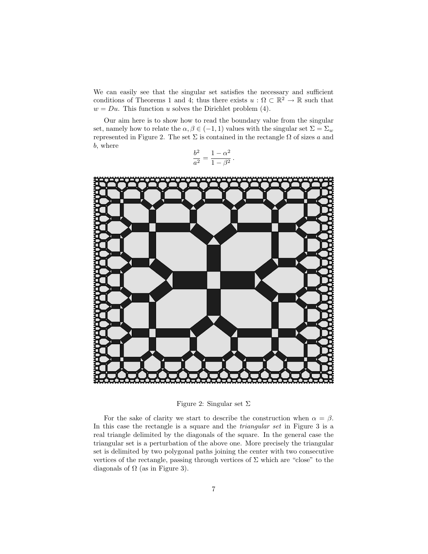We can easily see that the singular set satisfies the necessary and sufficient conditions of Theorems 1 and 4; thus there exists  $u : \Omega \subset \mathbb{R}^2 \to \mathbb{R}$  such that  $w = Du$ . This function u solves the Dirichlet problem (4).

Our aim here is to show how to read the boundary value from the singular set, namely how to relate the  $\alpha, \beta \in (-1, 1)$  values with the singular set  $\Sigma = \Sigma_w$ represented in Figure 2. The set  $\Sigma$  is contained in the rectangle  $\Omega$  of sizes a and b, where

$$
\frac{b^2}{a^2} = \frac{1 - \alpha^2}{1 - \beta^2} \, .
$$



Figure 2: Singular set  $\Sigma$ 

For the sake of clarity we start to describe the construction when  $\alpha = \beta$ . In this case the rectangle is a square and the triangular set in Figure 3 is a real triangle delimited by the diagonals of the square. In the general case the triangular set is a perturbation of the above one. More precisely the triangular set is delimited by two polygonal paths joining the center with two consecutive vertices of the rectangle, passing through vertices of  $\Sigma$  which are "close" to the diagonals of  $\Omega$  (as in Figure 3).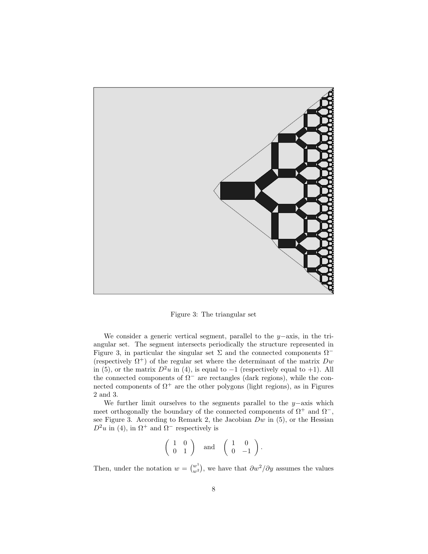

Figure 3: The triangular set

We consider a generic vertical segment, parallel to the y−axis, in the triangular set. The segment intersects periodically the structure represented in Figure 3, in particular the singular set  $\Sigma$  and the connected components  $\Omega$ <sup>−</sup> (respectively  $\Omega^+$ ) of the regular set where the determinant of the matrix  $Dw$ in (5), or the matrix  $D^2u$  in (4), is equal to  $-1$  (respectively equal to +1). All the connected components of  $\Omega^-$  are rectangles (dark regions), while the connected components of  $\Omega^+$  are the other polygons (light regions), as in Figures 2 and 3.

We further limit ourselves to the segments parallel to the  $y$ −axis which meet orthogonally the boundary of the connected components of  $\Omega^+$  and  $\Omega^-$ , see Figure 3. According to Remark 2, the Jacobian  $Dw$  in (5), or the Hessian  $D^2u$  in (4), in  $\Omega^+$  and  $\Omega^-$  respectively is

$$
\left(\begin{array}{cc} 1 & 0 \\ 0 & 1 \end{array}\right) \quad \text{and} \quad \left(\begin{array}{cc} 1 & 0 \\ 0 & -1 \end{array}\right).
$$

Then, under the notation  $w = \begin{pmatrix} w^1 \\ w^2 \end{pmatrix}$  $\binom{w^1}{w^2}$ , we have that  $\frac{\partial w^2}{\partial y}$  assumes the values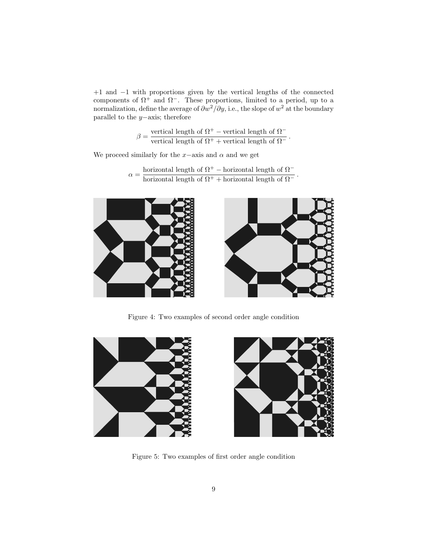+1 and −1 with proportions given by the vertical lengths of the connected components of  $\Omega^+$  and  $\Omega^-$ . These proportions, limited to a period, up to a normalization, define the average of  $\partial w^2/\partial y$ , i.e., the slope of  $w^2$  at the boundary parallel to the y−axis; therefore

$$
\beta = \frac{\text{vertical length of }\Omega^+ - \text{vertical length of }\Omega^-}{\text{vertical length of }\Omega^+ + \text{vertical length of }\Omega^-}
$$

.

.

We proceed similarly for the  $x$ −axis and  $\alpha$  and we get

$$
\alpha = \frac{\text{horizontal length of }\Omega^+ - \text{horizontal length of }\Omega^-}{\text{horizontal length of }\Omega^+ + \text{horizontal length of }\Omega^-}
$$



Figure 4: Two examples of second order angle condition



Figure 5: Two examples of first order angle condition